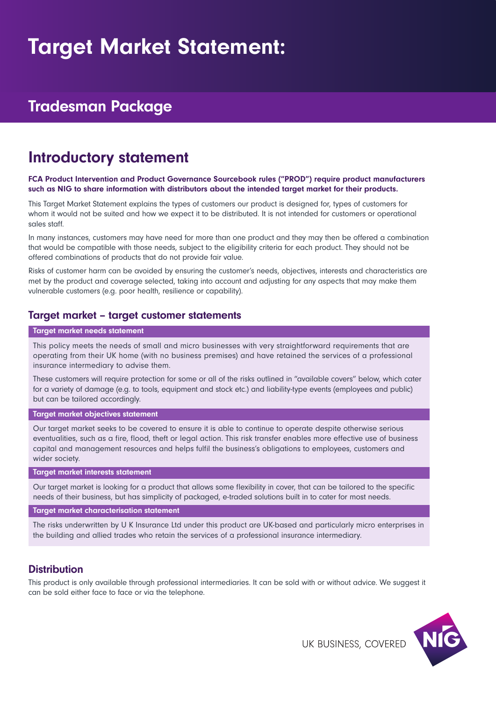# Target Market Statement:

# Tradesman Package

# Introductory statement

#### FCA Product Intervention and Product Governance Sourcebook rules ("PROD") require product manufacturers such as NIG to share information with distributors about the intended target market for their products.

This Target Market Statement explains the types of customers our product is designed for, types of customers for whom it would not be suited and how we expect it to be distributed. It is not intended for customers or operational sales staff.

In many instances, customers may have need for more than one product and they may then be offered a combination that would be compatible with those needs, subject to the eligibility criteria for each product. They should not be offered combinations of products that do not provide fair value.

Risks of customer harm can be avoided by ensuring the customer's needs, objectives, interests and characteristics are met by the product and coverage selected, taking into account and adjusting for any aspects that may make them vulnerable customers (e.g. poor health, resilience or capability).

### Target market – target customer statements

#### Target market needs statement

This policy meets the needs of small and micro businesses with very straightforward requirements that are operating from their UK home (with no business premises) and have retained the services of a professional insurance intermediary to advise them.

These customers will require protection for some or all of the risks outlined in "available covers" below, which cater for a variety of damage (e.g. to tools, equipment and stock etc.) and liability-type events (employees and public) but can be tailored accordingly.

#### Target market objectives statement

Our target market seeks to be covered to ensure it is able to continue to operate despite otherwise serious eventualities, such as a fire, flood, theft or legal action. This risk transfer enables more effective use of business capital and management resources and helps fulfil the business's obligations to employees, customers and wider society.

#### Target market interests statement

Our target market is looking for a product that allows some flexibility in cover, that can be tailored to the specific needs of their business, but has simplicity of packaged, e-traded solutions built in to cater for most needs.

#### Target market characterisation statement

The risks underwritten by U K Insurance Ltd under this product are UK-based and particularly micro enterprises in the building and allied trades who retain the services of a professional insurance intermediary.

### **Distribution**

This product is only available through professional intermediaries. It can be sold with or without advice. We suggest it can be sold either face to face or via the telephone.

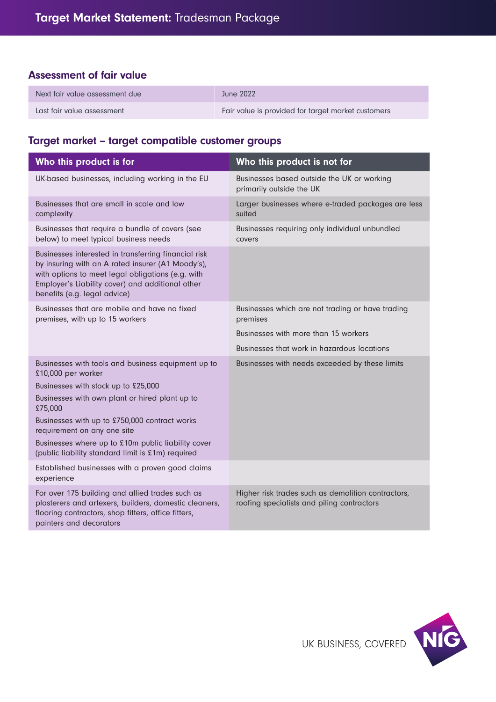## Assessment of fair value

| Next fair value assessment due | June 2022                                          |
|--------------------------------|----------------------------------------------------|
| Last fair value assessment     | Fair value is provided for target market customers |

# Target market – target compatible customer groups

| Who this product is for                                                                                                                                                                                                                            | Who this product is not for                                                                      |  |
|----------------------------------------------------------------------------------------------------------------------------------------------------------------------------------------------------------------------------------------------------|--------------------------------------------------------------------------------------------------|--|
| UK-based businesses, including working in the EU                                                                                                                                                                                                   | Businesses based outside the UK or working<br>primarily outside the UK                           |  |
| Businesses that are small in scale and low<br>complexity                                                                                                                                                                                           | Larger businesses where e-traded packages are less<br>suited                                     |  |
| Businesses that require a bundle of covers (see<br>below) to meet typical business needs                                                                                                                                                           | Businesses requiring only individual unbundled<br>covers                                         |  |
| Businesses interested in transferring financial risk<br>by insuring with an A rated insurer (A1 Moody's),<br>with options to meet legal obligations (e.g. with<br>Employer's Liability cover) and additional other<br>benefits (e.g. legal advice) |                                                                                                  |  |
| Businesses that are mobile and have no fixed<br>premises, with up to 15 workers                                                                                                                                                                    | Businesses which are not trading or have trading<br>premises                                     |  |
|                                                                                                                                                                                                                                                    | Businesses with more than 15 workers                                                             |  |
|                                                                                                                                                                                                                                                    | Businesses that work in hazardous locations                                                      |  |
| Businesses with tools and business equipment up to<br>£10,000 per worker                                                                                                                                                                           | Businesses with needs exceeded by these limits                                                   |  |
| Businesses with stock up to £25,000                                                                                                                                                                                                                |                                                                                                  |  |
| Businesses with own plant or hired plant up to<br>£75,000                                                                                                                                                                                          |                                                                                                  |  |
| Businesses with up to £750,000 contract works<br>requirement on any one site                                                                                                                                                                       |                                                                                                  |  |
| Businesses where up to £10m public liability cover<br>(public liability standard limit is £1m) required                                                                                                                                            |                                                                                                  |  |
| Established businesses with a proven good claims<br>experience                                                                                                                                                                                     |                                                                                                  |  |
| For over 175 building and allied trades such as<br>plasterers and artexers, builders, domestic cleaners,<br>flooring contractors, shop fitters, office fitters,<br>painters and decorators                                                         | Higher risk trades such as demolition contractors,<br>roofing specialists and piling contractors |  |